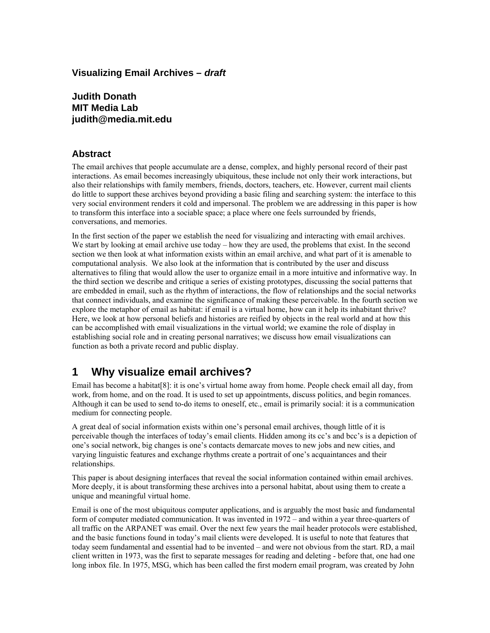## **Visualizing Email Archives – draft**

**Judith Donath MIT Media Lab judith@media.mit.edu** 

#### **Abstract**

The email archives that people accumulate are a dense, complex, and highly personal record of their past interactions. As email becomes increasingly ubiquitous, these include not only their work interactions, but also their relationships with family members, friends, doctors, teachers, etc. However, current mail clients do little to support these archives beyond providing a basic filing and searching system: the interface to this very social environment renders it cold and impersonal. The problem we are addressing in this paper is how to transform this interface into a sociable space; a place where one feels surrounded by friends, conversations, and memories.

In the first section of the paper we establish the need for visualizing and interacting with email archives. We start by looking at email archive use today – how they are used, the problems that exist. In the second section we then look at what information exists within an email archive, and what part of it is amenable to computational analysis. We also look at the information that is contributed by the user and discuss alternatives to filing that would allow the user to organize email in a more intuitive and informative way. In the third section we describe and critique a series of existing prototypes, discussing the social patterns that are embedded in email, such as the rhythm of interactions, the flow of relationships and the social networks that connect individuals, and examine the significance of making these perceivable. In the fourth section we explore the metaphor of email as habitat: if email is a virtual home, how can it help its inhabitant thrive? Here, we look at how personal beliefs and histories are reified by objects in the real world and at how this can be accomplished with email visualizations in the virtual world; we examine the role of display in establishing social role and in creating personal narratives; we discuss how email visualizations can function as both a private record and public display.

# **1 Why visualize email archives?**

Email has become a habita[t\[8\]:](#page-15-0) it is one's virtual home away from home. People check email all day, from work, from home, and on the road. It is used to set up appointments, discuss politics, and begin romances. Although it can be used to send to-do items to oneself, etc., email is primarily social: it is a communication medium for connecting people.

A great deal of social information exists within one's personal email archives, though little of it is perceivable though the interfaces of today's email clients. Hidden among its cc's and bcc's is a depiction of one's social network, big changes is one's contacts demarcate moves to new jobs and new cities, and varying linguistic features and exchange rhythms create a portrait of one's acquaintances and their relationships.

This paper is about designing interfaces that reveal the social information contained within email archives. More deeply, it is about transforming these archives into a personal habitat, about using them to create a unique and meaningful virtual home.

Email is one of the most ubiquitous computer applications, and is arguably the most basic and fundamental form of computer mediated communication. It was invented in 1972 – and within a year three-quarters of all traffic on the ARPANET was email. Over the next few years the mail header protocols were established, and the basic functions found in today's mail clients were developed. It is useful to note that features that today seem fundamental and essential had to be invented – and were not obvious from the start. RD, a mail client written in 1973, was the first to separate messages for reading and deleting - before that, one had one long inbox file. In 1975, MSG, which has been called the first modern email program, was created by John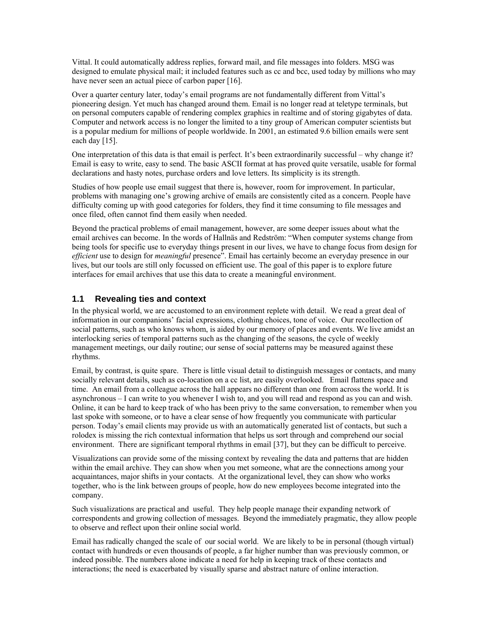Vittal. It could automatically address replies, forward mail, and file messages into folders. MSG was designed to emulate physical mail; it included features such as cc and bcc, used today by millions who may have never seen an actual piece of carbon paper [\[16\].](#page-15-1)

Over a quarter century later, today's email programs are not fundamentally different from Vittal's pioneering design. Yet much has changed around them. Email is no longer read at teletype terminals, but on personal computers capable of rendering complex graphics in realtime and of storing gigabytes of data. Computer and network access is no longer the limited to a tiny group of American computer scientists but is a popular medium for millions of people worldwide. In 2001, an estimated 9.6 billion emails were sent each day [\[15\].](#page-15-2)

One interpretation of this data is that email is perfect. It's been extraordinarily successful – why change it? Email is easy to write, easy to send. The basic ASCII format at has proved quite versatile, usable for formal declarations and hasty notes, purchase orders and love letters. Its simplicity is its strength.

Studies of how people use email suggest that there is, however, room for improvement. In particular, problems with managing one's growing archive of emails are consistently cited as a concern. People have difficulty coming up with good categories for folders, they find it time consuming to file messages and once filed, often cannot find them easily when needed.

Beyond the practical problems of email management, however, are some deeper issues about what the email archives can become. In the words of Hallnäs and Redström: "When computer systems change from being tools for specific use to everyday things present in our lives, we have to change focus from design for *efficient* use to design for *meaningful* presence". Email has certainly become an everyday presence in our lives, but our tools are still only focussed on efficient use. The goal of this paper is to explore future interfaces for email archives that use this data to create a meaningful environment.

#### **1.1 Revealing ties and context**

In the physical world, we are accustomed to an environment replete with detail. We read a great deal of information in our companions' facial expressions, clothing choices, tone of voice. Our recollection of social patterns, such as who knows whom, is aided by our memory of places and events. We live amidst an interlocking series of temporal patterns such as the changing of the seasons, the cycle of weekly management meetings, our daily routine; our sense of social patterns may be measured against these rhythms.

Email, by contrast, is quite spare. There is little visual detail to distinguish messages or contacts, and many socially relevant details, such as co-location on a cc list, are easily overlooked. Email flattens space and time. An email from a colleague across the hall appears no different than one from across the world. It is asynchronous – I can write to you whenever I wish to, and you will read and respond as you can and wish. Online, it can be hard to keep track of who has been privy to the same conversation, to remember when you last spoke with someone, or to have a clear sense of how frequently you communicate with particular person. Today's email clients may provide us with an automatically generated list of contacts, but such a rolodex is missing the rich contextual information that helps us sort through and comprehend our social environment. There are significant temporal rhythms in email [\[37\],](#page-16-0) but they can be difficult to perceive.

Visualizations can provide some of the missing context by revealing the data and patterns that are hidden within the email archive. They can show when you met someone, what are the connections among your acquaintances, major shifts in your contacts. At the organizational level, they can show who works together, who is the link between groups of people, how do new employees become integrated into the company.

Such visualizations are practical and useful. They help people manage their expanding network of correspondents and growing collection of messages. Beyond the immediately pragmatic, they allow people to observe and reflect upon their online social world.

Email has radically changed the scale of our social world. We are likely to be in personal (though virtual) contact with hundreds or even thousands of people, a far higher number than was previously common, or indeed possible. The numbers alone indicate a need for help in keeping track of these contacts and interactions; the need is exacerbated by visually sparse and abstract nature of online interaction.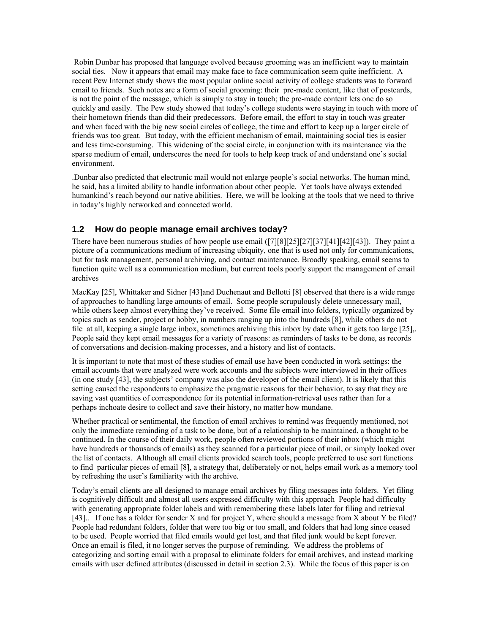Robin Dunbar has proposed that language evolved because grooming was an inefficient way to maintain social ties. Now it appears that email may make face to face communication seem quite inefficient. A recent Pew Internet study shows the most popular online social activity of college students was to forward email to friends. Such notes are a form of social grooming: their pre-made content, like that of postcards, is not the point of the message, which is simply to stay in touch; the pre-made content lets one do so quickly and easily. The Pew study showed that today's college students were staying in touch with more of their hometown friends than did their predecessors. Before email, the effort to stay in touch was greater and when faced with the big new social circles of college, the time and effort to keep up a larger circle of friends was too great. But today, with the efficient mechanism of email, maintaining social ties is easier and less time-consuming. This widening of the social circle, in conjunction with its maintenance via the sparse medium of email, underscores the need for tools to help keep track of and understand one's social environment.

.Dunbar also predicted that electronic mail would not enlarge people's social networks. The human mind, he said, has a limited ability to handle information about other people. Yet tools have always extended humankind's reach beyond our native abilities. Here, we will be looking at the tools that we need to thrive in today's highly networked and connected world.

#### **1.2 How do people manage email archives today?**

There have been numerous studies of how people use email [\(\[7\]](#page-15-3)[\[8\]](#page-15-0)[\[25\]](#page-15-4)[\[27\]](#page-16-1)[\[37\]](#page-16-0)[\[41\]](#page-16-2)[\[42\]](#page-16-3)[\[43\]\)](#page-16-4). They paint a picture of a communications medium of increasing ubiquity, one that is used not only for communications, but for task management, personal archiving, and contact maintenance. Broadly speaking, email seems to function quite well as a communication medium, but current tools poorly support the management of email archives

MacKay [\[25\],](#page-15-4) Whittaker and Sidner [\[43\]a](#page-16-4)nd Duchenaut and Bellotti [\[8\]](#page-15-0) observed that there is a wide range of approaches to handling large amounts of email. Some people scrupulously delete unnecessary mail, while others keep almost everything they've received. Some file email into folders, typically organized by topics such as sender, project or hobby, in numbers ranging up into the hundreds [\[8\],](#page-15-0) while others do not file at all, keeping a single large inbox, sometimes archiving this inbox by date when it gets too large [\[25\],](#page-15-4). People said they kept email messages for a variety of reasons: as reminders of tasks to be done, as records of conversations and decision-making processes, and a history and list of contacts.

It is important to note that most of these studies of email use have been conducted in work settings: the email accounts that were analyzed were work accounts and the subjects were interviewed in their offices (in one study [\[43\],](#page-16-4) the subjects' company was also the developer of the email client). It is likely that this setting caused the respondents to emphasize the pragmatic reasons for their behavior, to say that they are saving vast quantities of correspondence for its potential information-retrieval uses rather than for a perhaps inchoate desire to collect and save their history, no matter how mundane.

Whether practical or sentimental, the function of email archives to remind was frequently mentioned, not only the immediate reminding of a task to be done, but of a relationship to be maintained, a thought to be continued. In the course of their daily work, people often reviewed portions of their inbox (which might have hundreds or thousands of emails) as they scanned for a particular piece of mail, or simply looked over the list of contacts. Although all email clients provided search tools, people preferred to use sort functions to find particular pieces of email [\[8\],](#page-15-0) a strategy that, deliberately or not, helps email work as a memory tool by refreshing the user's familiarity with the archive.

Today's email clients are all designed to manage email archives by filing messages into folders. Yet filing is cognitively difficult and almost all users expressed difficulty with this approach People had difficulty with generating appropriate folder labels and with remembering these labels later for filing and retrieval [\[43\].](#page-16-4) If one has a folder for sender X and for project Y, where should a message from X about Y be filed? People had redundant folders, folder that were too big or too small, and folders that had long since ceased to be used. People worried that filed emails would get lost, and that filed junk would be kept forever. Once an email is filed, it no longer serves the purpose of reminding. We address the problems of categorizing and sorting email with a proposal to eliminate folders for email archives, and instead marking emails with user defined attributes (discussed in detail in section [2.3\)](#page-4-0). While the focus of this paper is on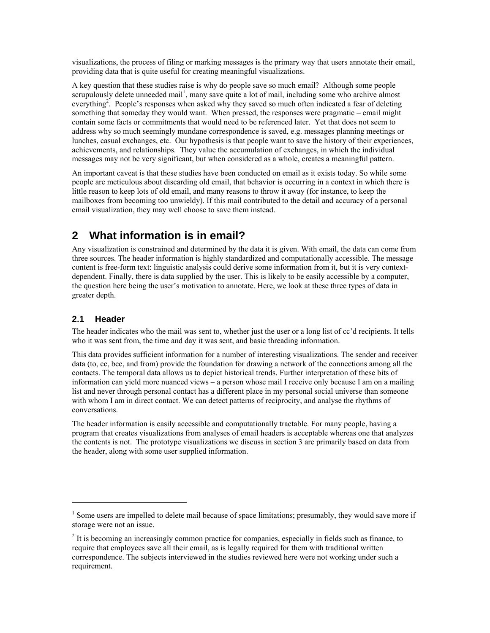visualizations, the process of filing or marking messages is the primary way that users annotate their email, providing data that is quite useful for creating meaningful visualizations.

A key question that these studies raise is why do people save so much email? Although some people scrupulously delete unneeded mail<sup>1</sup>[,](#page-3-0) many save quite a lot of mail, including some who archive almost everything<sup>[2](#page-3-1)</sup>. People's responses when asked why they saved so much often indicated a fear of deleting something that someday they would want. When pressed, the responses were pragmatic – email might contain some facts or commitments that would need to be referenced later. Yet that does not seem to address why so much seemingly mundane correspondence is saved, e.g. messages planning meetings or lunches, casual exchanges, etc. Our hypothesis is that people want to save the history of their experiences, achievements, and relationships. They value the accumulation of exchanges, in which the individual messages may not be very significant, but when considered as a whole, creates a meaningful pattern.

An important caveat is that these studies have been conducted on email as it exists today. So while some people are meticulous about discarding old email, that behavior is occurring in a context in which there is little reason to keep lots of old email, and many reasons to throw it away (for instance, to keep the mailboxes from becoming too unwieldy). If this mail contributed to the detail and accuracy of a personal email visualization, they may well choose to save them instead.

# **2 What information is in email?**

Any visualization is constrained and determined by the data it is given. With email, the data can come from three sources. The header information is highly standardized and computationally accessible. The message content is free-form text: linguistic analysis could derive some information from it, but it is very contextdependent. Finally, there is data supplied by the user. This is likely to be easily accessible by a computer, the question here being the user's motivation to annotate. Here, we look at these three types of data in greater depth.

## **2.1 Header**

 $\overline{a}$ 

The header indicates who the mail was sent to, whether just the user or a long list of cc'd recipients. It tells who it was sent from, the time and day it was sent, and basic threading information.

This data provides sufficient information for a number of interesting visualizations. The sender and receiver data (to, cc, bcc, and from) provide the foundation for drawing a network of the connections among all the contacts. The temporal data allows us to depict historical trends. Further interpretation of these bits of information can yield more nuanced views – a person whose mail I receive only because I am on a mailing list and never through personal contact has a different place in my personal social universe than someone with whom I am in direct contact. We can detect patterns of reciprocity, and analyse the rhythms of conversations.

The header information is easily accessible and computationally tractable. For many people, having a program that creates visualizations from analyses of email headers is acceptable whereas one that analyzes the contents is not. The prototype visualizations we discuss in section [3](#page-6-0) are primarily based on data from the header, along with some user supplied information.

<span id="page-3-0"></span><sup>&</sup>lt;sup>1</sup> Some users are impelled to delete mail because of space limitations; presumably, they would save more if storage were not an issue.

<span id="page-3-1"></span> $2<sup>2</sup>$  It is becoming an increasingly common practice for companies, especially in fields such as finance, to require that employees save all their email, as is legally required for them with traditional written correspondence. The subjects interviewed in the studies reviewed here were not working under such a requirement.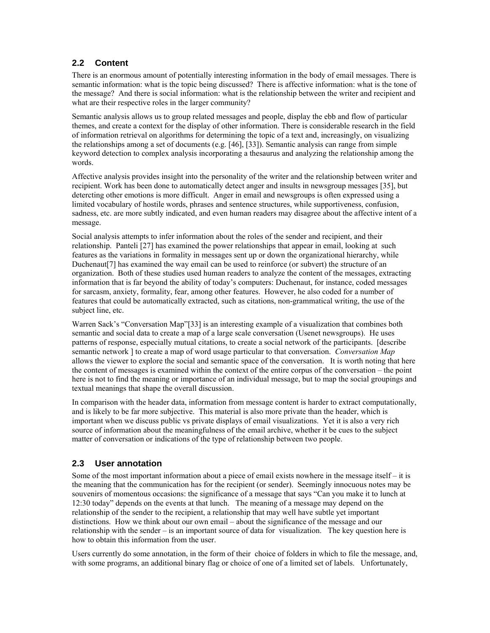## **2.2 Content**

There is an enormous amount of potentially interesting information in the body of email messages. There is semantic information: what is the topic being discussed? There is affective information: what is the tone of the message? And there is social information: what is the relationship between the writer and recipient and what are their respective roles in the larger community?

Semantic analysis allows us to group related messages and people, display the ebb and flow of particular themes, and create a context for the display of other information. There is considerable research in the field of information retrieval on algorithms for determining the topic of a text and, increasingly, on visualizing the relationships among a set of documents (e.g. [\[46\],](#page-17-0) [\[33\]\)](#page-16-5). Semantic analysis can range from simple keyword detection to complex analysis incorporating a thesaurus and analyzing the relationship among the words.

Affective analysis provides insight into the personality of the writer and the relationship between writer and recipient. Work has been done to automatically detect anger and insults in newsgroup messages [\[35\],](#page-16-6) but detercting other emotions is more difficult. Anger in email and newsgroups is often expressed using a limited vocabulary of hostile words, phrases and sentence structures, while supportiveness, confusion, sadness, etc. are more subtly indicated, and even human readers may disagree about the affective intent of a message.

Social analysis attempts to infer information about the roles of the sender and recipient, and their relationship. Panteli [\[27\]](#page-16-1) has examined the power relationships that appear in email, looking at such features as the variations in formality in messages sent up or down the organizational hierarchy, while Duchenaut[\[7\]](#page-15-3) has examined the way email can be used to reinforce (or subvert) the structure of an organization. Both of these studies used human readers to analyze the content of the messages, extracting information that is far beyond the ability of today's computers: Duchenaut, for instance, coded messages for sarcasm, anxiety, formality, fear, among other features. However, he also coded for a number of features that could be automatically extracted, such as citations, non-grammatical writing, the use of the subject line, etc.

Warren Sack's "Conversation Map"[\[33\]](#page-16-5) is an interesting example of a visualization that combines both semantic and social data to create a map of a large scale conversation (Usenet newsgroups). He uses patterns of response, especially mutual citations, to create a social network of the participants. [describe semantic network ] to create a map of word usage particular to that conversation. *Conversation Map* allows the viewer to explore the social and semantic space of the conversation. It is worth noting that here the content of messages is examined within the context of the entire corpus of the conversation – the point here is not to find the meaning or importance of an individual message, but to map the social groupings and textual meanings that shape the overall discussion.

In comparison with the header data, information from message content is harder to extract computationally, and is likely to be far more subjective. This material is also more private than the header, which is important when we discuss public vs private displays of email visualizations. Yet it is also a very rich source of information about the meaningfulness of the email archive, whether it be cues to the subject matter of conversation or indications of the type of relationship between two people.

# <span id="page-4-0"></span>**2.3 User annotation**

Some of the most important information about a piece of email exists nowhere in the message itself – it is the meaning that the communication has for the recipient (or sender). Seemingly innocuous notes may be souvenirs of momentous occasions: the significance of a message that says "Can you make it to lunch at 12:30 today" depends on the events at that lunch. The meaning of a message may depend on the relationship of the sender to the recipient, a relationship that may well have subtle yet important distinctions. How we think about our own email – about the significance of the message and our relationship with the sender – is an important source of data for visualization. The key question here is how to obtain this information from the user.

Users currently do some annotation, in the form of their choice of folders in which to file the message, and, with some programs, an additional binary flag or choice of one of a limited set of labels. Unfortunately,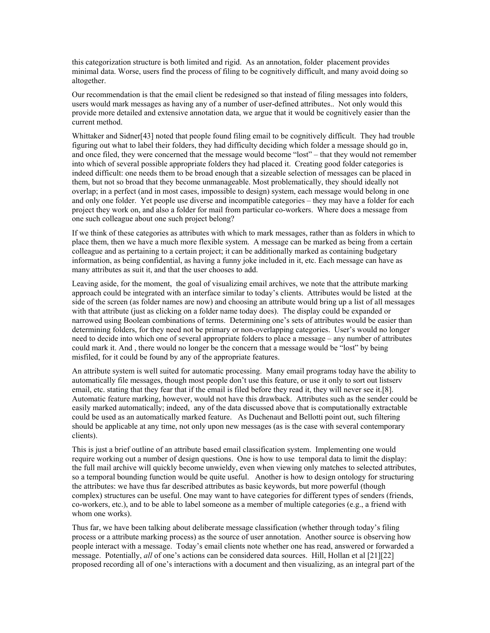this categorization structure is both limited and rigid. As an annotation, folder placement provides minimal data. Worse, users find the process of filing to be cognitively difficult, and many avoid doing so altogether.

Our recommendation is that the email client be redesigned so that instead of filing messages into folders, users would mark messages as having any of a number of user-defined attributes.. Not only would this provide more detailed and extensive annotation data, we argue that it would be cognitively easier than the current method.

Whittaker and Sidner<sup>[43]</sup> noted that people found filing email to be cognitively difficult. They had trouble figuring out what to label their folders, they had difficulty deciding which folder a message should go in, and once filed, they were concerned that the message would become "lost" – that they would not remember into which of several possible appropriate folders they had placed it. Creating good folder categories is indeed difficult: one needs them to be broad enough that a sizeable selection of messages can be placed in them, but not so broad that they become unmanageable. Most problematically, they should ideally not overlap; in a perfect (and in most cases, impossible to design) system, each message would belong in one and only one folder. Yet people use diverse and incompatible categories – they may have a folder for each project they work on, and also a folder for mail from particular co-workers. Where does a message from one such colleague about one such project belong?

If we think of these categories as attributes with which to mark messages, rather than as folders in which to place them, then we have a much more flexible system. A message can be marked as being from a certain colleague and as pertaining to a certain project; it can be additionally marked as containing budgetary information, as being confidential, as having a funny joke included in it, etc. Each message can have as many attributes as suit it, and that the user chooses to add.

Leaving aside, for the moment, the goal of visualizing email archives, we note that the attribute marking approach could be integrated with an interface similar to today's clients. Attributes would be listed at the side of the screen (as folder names are now) and choosing an attribute would bring up a list of all messages with that attribute (just as clicking on a folder name today does). The display could be expanded or narrowed using Boolean combinations of terms. Determining one's sets of attributes would be easier than determining folders, for they need not be primary or non-overlapping categories. User's would no longer need to decide into which one of several appropriate folders to place a message – any number of attributes could mark it. And , there would no longer be the concern that a message would be "lost" by being misfiled, for it could be found by any of the appropriate features.

An attribute system is well suited for automatic processing. Many email programs today have the ability to automatically file messages, though most people don't use this feature, or use it only to sort out listserv email, etc. stating that they fear that if the email is filed before they read it, they will never see it.[\[8\].](#page-15-0) Automatic feature marking, however, would not have this drawback. Attributes such as the sender could be easily marked automatically; indeed, any of the data discussed above that is computationally extractable could be used as an automatically marked feature. As Duchenaut and Bellotti point out, such filtering should be applicable at any time, not only upon new messages (as is the case with several contemporary clients).

This is just a brief outline of an attribute based email classification system. Implementing one would require working out a number of design questions. One is how to use temporal data to limit the display: the full mail archive will quickly become unwieldy, even when viewing only matches to selected attributes, so a temporal bounding function would be quite useful. Another is how to design ontology for structuring the attributes: we have thus far described attributes as basic keywords, but more powerful (though complex) structures can be useful. One may want to have categories for different types of senders (friends, co-workers, etc.), and to be able to label someone as a member of multiple categories (e.g., a friend with whom one works).

Thus far, we have been talking about deliberate message classification (whether through today's filing process or a attribute marking process) as the source of user annotation. Another source is observing how people interact with a message. Today's email clients note whether one has read, answered or forwarded a message. Potentially, *all* of one's actions can be considered data sources. Hill, Hollan et al [\[21\]](#page-15-5)[\[22\]](#page-15-6)  proposed recording all of one's interactions with a document and then visualizing, as an integral part of the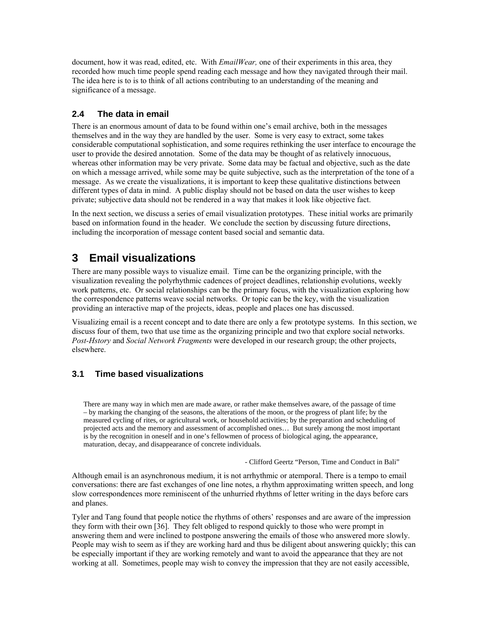document, how it was read, edited, etc. With *EmailWear,* one of their experiments in this area, they recorded how much time people spend reading each message and how they navigated through their mail. The idea here is to is to think of all actions contributing to an understanding of the meaning and significance of a message.

## **2.4 The data in email**

There is an enormous amount of data to be found within one's email archive, both in the messages themselves and in the way they are handled by the user. Some is very easy to extract, some takes considerable computational sophistication, and some requires rethinking the user interface to encourage the user to provide the desired annotation. Some of the data may be thought of as relatively innocuous, whereas other information may be very private. Some data may be factual and objective, such as the date on which a message arrived, while some may be quite subjective, such as the interpretation of the tone of a message. As we create the visualizations, it is important to keep these qualitative distinctions between different types of data in mind. A public display should not be based on data the user wishes to keep private; subjective data should not be rendered in a way that makes it look like objective fact.

In the next section, we discuss a series of email visualization prototypes. These initial works are primarily based on information found in the header. We conclude the section by discussing future directions, including the incorporation of message content based social and semantic data.

# <span id="page-6-0"></span>**3 Email visualizations**

There are many possible ways to visualize email. Time can be the organizing principle, with the visualization revealing the polyrhythmic cadences of project deadlines, relationship evolutions, weekly work patterns, etc. Or social relationships can be the primary focus, with the visualization exploring how the correspondence patterns weave social networks. Or topic can be the key, with the visualization providing an interactive map of the projects, ideas, people and places one has discussed.

Visualizing email is a recent concept and to date there are only a few prototype systems. In this section, we discuss four of them, two that use time as the organizing principle and two that explore social networks. *Post-Hstory* and *Social Network Fragments* were developed in our research group; the other projects, elsewhere.

## **3.1 Time based visualizations**

There are many way in which men are made aware, or rather make themselves aware, of the passage of time – by marking the changing of the seasons, the alterations of the moon, or the progress of plant life; by the measured cycling of rites, or agricultural work, or household activities; by the preparation and scheduling of projected acts and the memory and assessment of accomplished ones… But surely among the most important is by the recognition in oneself and in one's fellowmen of process of biological aging, the appearance, maturation, decay, and disappearance of concrete individuals.

- Clifford Geertz "Person, Time and Conduct in Bali"

Although email is an asynchronous medium, it is not arrhythmic or atemporal. There is a tempo to email conversations: there are fast exchanges of one line notes, a rhythm approximating written speech, and long slow correspondences more reminiscent of the unhurried rhythms of letter writing in the days before cars and planes.

Tyler and Tang found that people notice the rhythms of others' responses and are aware of the impression they form with their own [\[36\].](#page-16-7) They felt obliged to respond quickly to those who were prompt in answering them and were inclined to postpone answering the emails of those who answered more slowly. People may wish to seem as if they are working hard and thus be diligent about answering quickly; this can be especially important if they are working remotely and want to avoid the appearance that they are not working at all. Sometimes, people may wish to convey the impression that they are not easily accessible,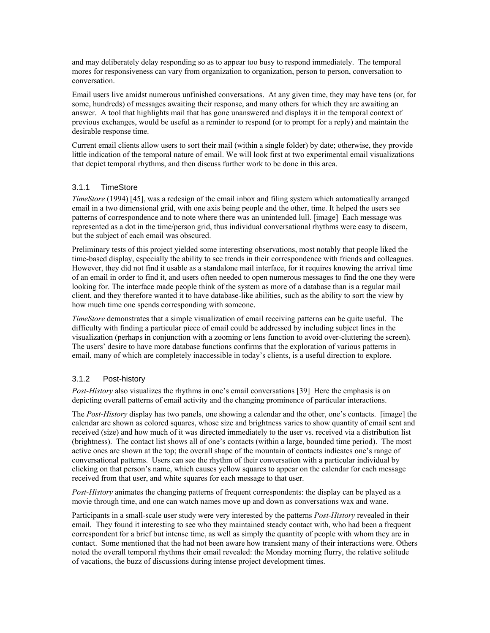and may deliberately delay responding so as to appear too busy to respond immediately. The temporal mores for responsiveness can vary from organization to organization, person to person, conversation to conversation.

Email users live amidst numerous unfinished conversations. At any given time, they may have tens (or, for some, hundreds) of messages awaiting their response, and many others for which they are awaiting an answer. A tool that highlights mail that has gone unanswered and displays it in the temporal context of previous exchanges, would be useful as a reminder to respond (or to prompt for a reply) and maintain the desirable response time.

Current email clients allow users to sort their mail (within a single folder) by date; otherwise, they provide little indication of the temporal nature of email. We will look first at two experimental email visualizations that depict temporal rhythms, and then discuss further work to be done in this area.

#### 3.1.1 TimeStore

*TimeStore* (1994) [\[45\],](#page-16-8) was a redesign of the email inbox and filing system which automatically arranged email in a two dimensional grid, with one axis being people and the other, time. It helped the users see patterns of correspondence and to note where there was an unintended lull. [image] Each message was represented as a dot in the time/person grid, thus individual conversational rhythms were easy to discern, but the subject of each email was obscured.

Preliminary tests of this project yielded some interesting observations, most notably that people liked the time-based display, especially the ability to see trends in their correspondence with friends and colleagues. However, they did not find it usable as a standalone mail interface, for it requires knowing the arrival time of an email in order to find it, and users often needed to open numerous messages to find the one they were looking for. The interface made people think of the system as more of a database than is a regular mail client, and they therefore wanted it to have database-like abilities, such as the ability to sort the view by how much time one spends corresponding with someone.

*TimeStore* demonstrates that a simple visualization of email receiving patterns can be quite useful. The difficulty with finding a particular piece of email could be addressed by including subject lines in the visualization (perhaps in conjunction with a zooming or lens function to avoid over-cluttering the screen). The users' desire to have more database functions confirms that the exploration of various patterns in email, many of which are completely inaccessible in today's clients, is a useful direction to explore.

#### 3.1.2 Post-history

*Post-History* also visualizes the rhythms in one's email conversations [\[39\]](#page-16-9) Here the emphasis is on depicting overall patterns of email activity and the changing prominence of particular interactions.

The *Post-History* display has two panels, one showing a calendar and the other, one's contacts. [image] the calendar are shown as colored squares, whose size and brightness varies to show quantity of email sent and received (size) and how much of it was directed immediately to the user vs. received via a distribution list (brightness). The contact list shows all of one's contacts (within a large, bounded time period). The most active ones are shown at the top; the overall shape of the mountain of contacts indicates one's range of conversational patterns. Users can see the rhythm of their conversation with a particular individual by clicking on that person's name, which causes yellow squares to appear on the calendar for each message received from that user, and white squares for each message to that user.

*Post-History* animates the changing patterns of frequent correspondents: the display can be played as a movie through time, and one can watch names move up and down as conversations wax and wane.

Participants in a small-scale user study were very interested by the patterns *Post-History* revealed in their email. They found it interesting to see who they maintained steady contact with, who had been a frequent correspondent for a brief but intense time, as well as simply the quantity of people with whom they are in contact. Some mentioned that the had not been aware how transient many of their interactions were. Others noted the overall temporal rhythms their email revealed: the Monday morning flurry, the relative solitude of vacations, the buzz of discussions during intense project development times.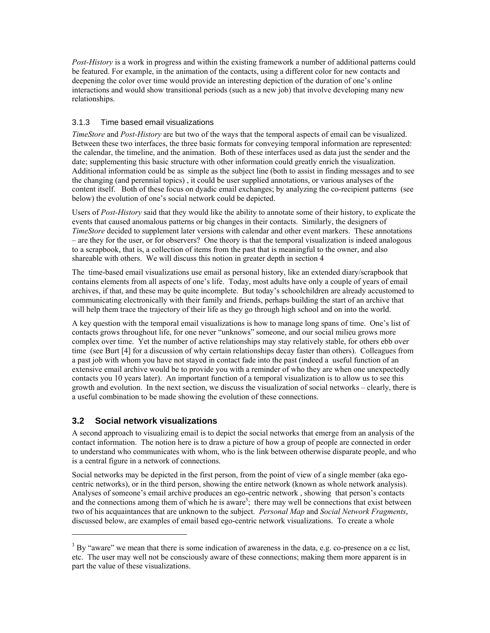*Post-History* is a work in progress and within the existing framework a number of additional patterns could be featured. For example, in the animation of the contacts, using a different color for new contacts and deepening the color over time would provide an interesting depiction of the duration of one's online interactions and would show transitional periods (such as a new job) that involve developing many new relationships.

#### 3.1.3 Time based email visualizations

*TimeStore* and *Post-History* are but two of the ways that the temporal aspects of email can be visualized. Between these two interfaces, the three basic formats for conveying temporal information are represented: the calendar, the timeline, and the animation. Both of these interfaces used as data just the sender and the date; supplementing this basic structure with other information could greatly enrich the visualization. Additional information could be as simple as the subject line (both to assist in finding messages and to see the changing (and perennial topics) , it could be user supplied annotations, or various analyses of the content itself. Both of these focus on dyadic email exchanges; by analyzing the co-recipient patterns (see below) the evolution of one's social network could be depicted.

Users of *Post-History* said that they would like the ability to annotate some of their history, to explicate the events that caused anomalous patterns or big changes in their contacts. Similarly, the designers of *TimeStore* decided to supplement later versions with calendar and other event markers. These annotations – are they for the user, or for observers? One theory is that the temporal visualization is indeed analogous to a scrapbook, that is, a collection of items from the past that is meaningful to the owner, and also shareable with others. We will discuss this notion in greater depth in section [4](#page-11-0) 

The time-based email visualizations use email as personal history, like an extended diary/scrapbook that contains elements from all aspects of one's life. Today, most adults have only a couple of years of email archives, if that, and these may be quite incomplete. But today's schoolchildren are already accustomed to communicating electronically with their family and friends, perhaps building the start of an archive that will help them trace the trajectory of their life as they go through high school and on into the world.

A key question with the temporal email visualizations is how to manage long spans of time. One's list of contacts grows throughout life, for one never "unknows" someone, and our social milieu grows more complex over time. Yet the number of active relationships may stay relatively stable, for others ebb over time (see Burt [\[4\]](#page-14-0) for a discussion of why certain relationships decay faster than others). Colleagues from a past job with whom you have not stayed in contact fade into the past (indeed a useful function of an extensive email archive would be to provide you with a reminder of who they are when one unexpectedly contacts you 10 years later). An important function of a temporal visualization is to allow us to see this growth and evolution. In the next section, we discuss the visualization of social networks – clearly, there is a useful combination to be made showing the evolution of these connections.

# **3.2 Social network visualizations**

 $\overline{a}$ 

A second approach to visualizing email is to depict the social networks that emerge from an analysis of the contact information. The notion here is to draw a picture of how a group of people are connected in order to understand who communicates with whom, who is the link between otherwise disparate people, and who is a central figure in a network of connections.

Social networks may be depicted in the first person, from the point of view of a single member (aka egocentric networks), or in the third person, showing the entire network (known as whole network analysis). Analyses of someone's email archive produces an ego-centric network , showing that person's contacts and the connections among them of which he is aware<sup>[3](#page-8-0)</sup>; there may well be connections that exist between two of his acquaintances that are unknown to the subject. *Personal Map* and *Social Network Fragments*, discussed below, are examples of email based ego-centric network visualizations. To create a whole

<span id="page-8-0"></span> $3$  By "aware" we mean that there is some indication of awareness in the data, e.g. co-presence on a cc list, etc. The user may well not be consciously aware of these connections; making them more apparent is in part the value of these visualizations.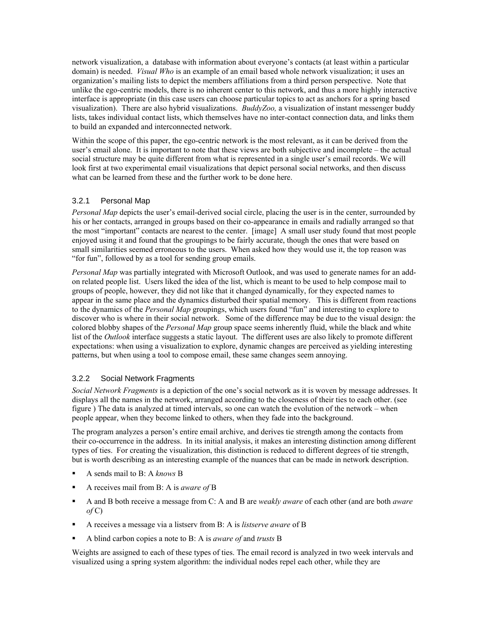network visualization, a database with information about everyone's contacts (at least within a particular domain) is needed. *Visual Who* is an example of an email based whole network visualization; it uses an organization's mailing lists to depict the members affiliations from a third person perspective. Note that unlike the ego-centric models, there is no inherent center to this network, and thus a more highly interactive interface is appropriate (in this case users can choose particular topics to act as anchors for a spring based visualization). There are also hybrid visualizations. *BuddyZoo,* a visualization of instant messenger buddy lists, takes individual contact lists, which themselves have no inter-contact connection data, and links them to build an expanded and interconnected network.

Within the scope of this paper, the ego-centric network is the most relevant, as it can be derived from the user's email alone. It is important to note that these views are both subjective and incomplete – the actual social structure may be quite different from what is represented in a single user's email records. We will look first at two experimental email visualizations that depict personal social networks, and then discuss what can be learned from these and the further work to be done here.

#### 3.2.1 Personal Map

*Personal Map* depicts the user's email-derived social circle, placing the user is in the center, surrounded by his or her contacts, arranged in groups based on their co-appearance in emails and radially arranged so that the most "important" contacts are nearest to the center. [image] A small user study found that most people enjoyed using it and found that the groupings to be fairly accurate, though the ones that were based on small similarities seemed erroneous to the users. When asked how they would use it, the top reason was "for fun", followed by as a tool for sending group emails.

*Personal Map* was partially integrated with Microsoft Outlook, and was used to generate names for an addon related people list. Users liked the idea of the list, which is meant to be used to help compose mail to groups of people, however, they did not like that it changed dynamically, for they expected names to appear in the same place and the dynamics disturbed their spatial memory. This is different from reactions to the dynamics of the *Personal Map* groupings, which users found "fun" and interesting to explore to discover who is where in their social network. Some of the difference may be due to the visual design: the colored blobby shapes of the *Personal Map* group space seems inherently fluid, while the black and white list of the *Outlook* interface suggests a static layout. The different uses are also likely to promote different expectations: when using a visualization to explore, dynamic changes are perceived as yielding interesting patterns, but when using a tool to compose email, these same changes seem annoying.

#### 3.2.2 Social Network Fragments

*Social Network Fragments* is a depiction of the one's social network as it is woven by message addresses. It displays all the names in the network, arranged according to the closeness of their ties to each other. (see figure ) The data is analyzed at timed intervals, so one can watch the evolution of the network – when people appear, when they become linked to others, when they fade into the background.

The program analyzes a person's entire email archive, and derives tie strength among the contacts from their co-occurrence in the address. In its initial analysis, it makes an interesting distinction among different types of ties. For creating the visualization, this distinction is reduced to different degrees of tie strength, but is worth describing as an interesting example of the nuances that can be made in network description.

- A sends mail to B: A *knows* B
- A receives mail from B: A is *aware of* B
- A and B both receive a message from C: A and B are *weakly aware* of each other (and are both *aware*   $of C$ )
- A receives a message via a listserv from B: A is *listserve aware* of B
- A blind carbon copies a note to B: A is *aware of* and *trusts* B

Weights are assigned to each of these types of ties. The email record is analyzed in two week intervals and visualized using a spring system algorithm: the individual nodes repel each other, while they are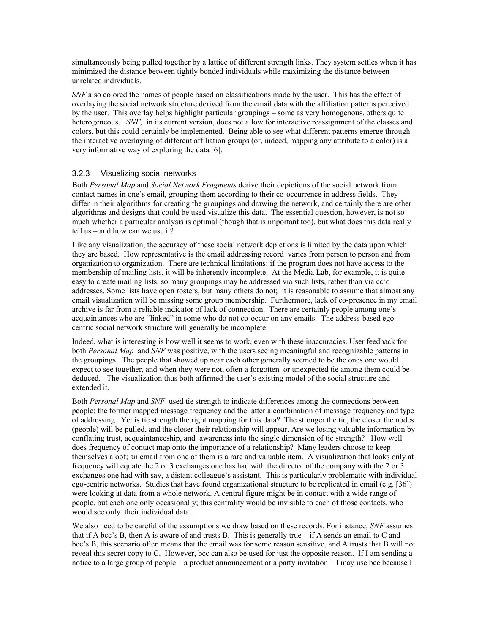simultaneously being pulled together by a lattice of different strength links. They system settles when it has minimized the distance between tightly bonded individuals while maximizing the distance between unrelated individuals.

*SNF* also colored the names of people based on classifications made by the user. This has the effect of overlaying the social network structure derived from the email data with the affiliation patterns perceived by the user. This overlay helps highlight particular groupings – some as very homogenous, others quite heterogeneous. *SNF*, in its current version, does not allow for interactive reassignment of the classes and colors, but this could certainly be implemented. Being able to see what different patterns emerge through the interactive overlaying of different affiliation groups (or, indeed, mapping any attribute to a color) is a very informative way of exploring the data [\[6\].](#page-15-7)

#### 3.2.3 Visualizing social networks

Both *Personal Map* and *Social Network Fragments* derive their depictions of the social network from contact names in one's email, grouping them according to their co-occurrence in address fields. They differ in their algorithms for creating the groupings and drawing the network, and certainly there are other algorithms and designs that could be used visualize this data. The essential question, however, is not so much whether a particular analysis is optimal (though that is important too), but what does this data really tell us – and how can we use it?

Like any visualization, the accuracy of these social network depictions is limited by the data upon which they are based. How representative is the email addressing record varies from person to person and from organization to organization. There are technical limitations: if the program does not have access to the membership of mailing lists, it will be inherently incomplete. At the Media Lab, for example, it is quite easy to create mailing lists, so many groupings may be addressed via such lists, rather than via cc'd addresses. Some lists have open rosters, but many others do not; it is reasonable to assume that almost any email visualization will be missing some group membership. Furthermore, lack of co-presence in my email archive is far from a reliable indicator of lack of connection. There are certainly people among one's acquaintances who are "linked" in some who do not co-occur on any emails. The address-based egocentric social network structure will generally be incomplete.

Indeed, what is interesting is how well it seems to work, even with these inaccuracies. User feedback for both *Personal Map* and *SNF* was positive, with the users seeing meaningful and recognizable patterns in the groupings. The people that showed up near each other generally seemed to be the ones one would expect to see together, and when they were not, often a forgotten or unexpected tie among them could be deduced. The visualization thus both affirmed the user's existing model of the social structure and extended it.

Both *Personal Map* and *SNF* used tie strength to indicate differences among the connections between people: the former mapped message frequency and the latter a combination of message frequency and type of addressing. Yet is tie strength the right mapping for this data? The stronger the tie, the closer the nodes (people) will be pulled, and the closer their relationship will appear. Are we losing valuable information by conflating trust, acquaintanceship, and awareness into the single dimension of tie strength? How well does frequency of contact map onto the importance of a relationship? Many leaders choose to keep themselves aloof; an email from one of them is a rare and valuable item. A visualization that looks only at frequency will equate the 2 or 3 exchanges one has had with the director of the company with the 2 or 3 exchanges one had with say, a distant colleague's assistant. This is particularly problematic with individual ego-centric networks. Studies that have found organizational structure to be replicated in email (e.g. [\[36\]\)](#page-16-7) were looking at data from a whole network. A central figure might be in contact with a wide range of people, but each one only occasionally; this centrality would be invisible to each of those contacts, who would see only their individual data.

We also need to be careful of the assumptions we draw based on these records. For instance, *SNF* assumes that if A bcc's B, then A is aware of and trusts B. This is generally true – if A sends an email to C and bcc's B, this scenario often means that the email was for some reason sensitive, and A trusts that B will not reveal this secret copy to C. However, bcc can also be used for just the opposite reason. If I am sending a notice to a large group of people – a product announcement or a party invitation – I may use bcc because I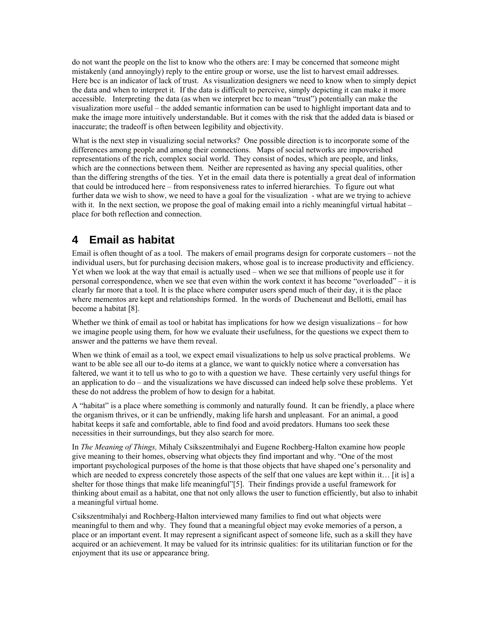do not want the people on the list to know who the others are: I may be concerned that someone might mistakenly (and annoyingly) reply to the entire group or worse, use the list to harvest email addresses. Here bcc is an indicator of lack of trust. As visualization designers we need to know when to simply depict the data and when to interpret it. If the data is difficult to perceive, simply depicting it can make it more accessible. Interpreting the data (as when we interpret bcc to mean "trust") potentially can make the visualization more useful – the added semantic information can be used to highlight important data and to make the image more intuitively understandable. But it comes with the risk that the added data is biased or inaccurate; the tradeoff is often between legibility and objectivity.

What is the next step in visualizing social networks? One possible direction is to incorporate some of the differences among people and among their connections. Maps of social networks are impoverished representations of the rich, complex social world. They consist of nodes, which are people, and links, which are the connections between them. Neither are represented as having any special qualities, other than the differing strengths of the ties. Yet in the email data there is potentially a great deal of information that could be introduced here – from responsiveness rates to inferred hierarchies. To figure out what further data we wish to show, we need to have a goal for the visualization - what are we trying to achieve with it. In the next section, we propose the goal of making email into a richly meaningful virtual habitat – place for both reflection and connection.

# <span id="page-11-0"></span>**4 Email as habitat**

Email is often thought of as a tool. The makers of email programs design for corporate customers – not the individual users, but for purchasing decision makers, whose goal is to increase productivity and efficiency. Yet when we look at the way that email is actually used – when we see that millions of people use it for personal correspondence, when we see that even within the work context it has become "overloaded" – it is clearly far more that a tool. It is the place where computer users spend much of their day, it is the place where mementos are kept and relationships formed. In the words of Ducheneaut and Bellotti, email has become a habitat [\[8\].](#page-15-0)

Whether we think of email as tool or habitat has implications for how we design visualizations – for how we imagine people using them, for how we evaluate their usefulness, for the questions we expect them to answer and the patterns we have them reveal.

When we think of email as a tool, we expect email visualizations to help us solve practical problems. We want to be able see all our to-do items at a glance, we want to quickly notice where a conversation has faltered, we want it to tell us who to go to with a question we have. These certainly very useful things for an application to do – and the visualizations we have discussed can indeed help solve these problems. Yet these do not address the problem of how to design for a habitat.

A "habitat" is a place where something is commonly and naturally found. It can be friendly, a place where the organism thrives, or it can be unfriendly, making life harsh and unpleasant. For an animal, a good habitat keeps it safe and comfortable, able to find food and avoid predators. Humans too seek these necessities in their surroundings, but they also search for more.

In *The Meaning of Things,* Mihaly Csikszentmihalyi and Eugene Rochberg-Halton examine how people give meaning to their homes, observing what objects they find important and why. "One of the most important psychological purposes of the home is that those objects that have shaped one's personality and which are needed to express concretely those aspects of the self that one values are kept within it… [it is] a shelter for those things that make life meaningful["\[5\].](#page-15-8) Their findings provide a useful framework for thinking about email as a habitat, one that not only allows the user to function efficiently, but also to inhabit a meaningful virtual home.

Csikszentmihalyi and Rochberg-Halton interviewed many families to find out what objects were meaningful to them and why. They found that a meaningful object may evoke memories of a person, a place or an important event. It may represent a significant aspect of someone life, such as a skill they have acquired or an achievement. It may be valued for its intrinsic qualities: for its utilitarian function or for the enjoyment that its use or appearance bring.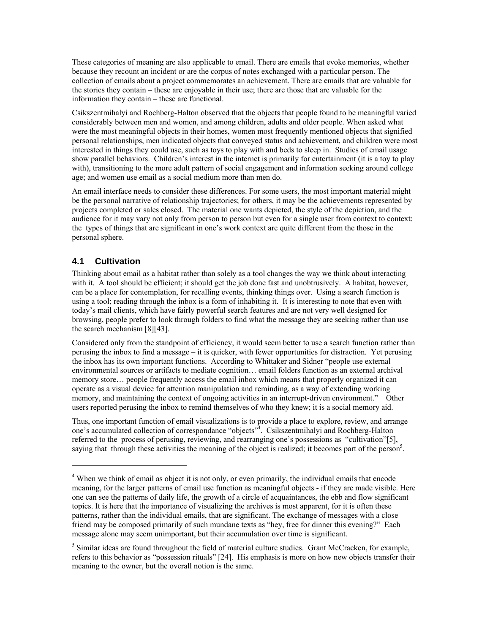These categories of meaning are also applicable to email. There are emails that evoke memories, whether because they recount an incident or are the corpus of notes exchanged with a particular person. The collection of emails about a project commemorates an achievement. There are emails that are valuable for the stories they contain – these are enjoyable in their use; there are those that are valuable for the information they contain – these are functional.

Csikszentmihalyi and Rochberg-Halton observed that the objects that people found to be meaningful varied considerably between men and women, and among children, adults and older people. When asked what were the most meaningful objects in their homes, women most frequently mentioned objects that signified personal relationships, men indicated objects that conveyed status and achievement, and children were most interested in things they could use, such as toys to play with and beds to sleep in. Studies of email usage show parallel behaviors. Children's interest in the internet is primarily for entertainment (it is a toy to play with), transitioning to the more adult pattern of social engagement and information seeking around college age; and women use email as a social medium more than men do.

An email interface needs to consider these differences. For some users, the most important material might be the personal narrative of relationship trajectories; for others, it may be the achievements represented by projects completed or sales closed. The material one wants depicted, the style of the depiction, and the audience for it may vary not only from person to person but even for a single user from context to context: the types of things that are significant in one's work context are quite different from the those in the personal sphere.

#### **4.1 Cultivation**

 $\overline{a}$ 

Thinking about email as a habitat rather than solely as a tool changes the way we think about interacting with it. A tool should be efficient; it should get the job done fast and unobtrusively. A habitat, however, can be a place for contemplation, for recalling events, thinking things over. Using a search function is using a tool; reading through the inbox is a form of inhabiting it. It is interesting to note that even with today's mail clients, which have fairly powerful search features and are not very well designed for browsing, people prefer to look through folders to find what the message they are seeking rather than use the search mechanism [\[8\]](#page-15-0)[\[43\].](#page-16-4)

Considered only from the standpoint of efficiency, it would seem better to use a search function rather than perusing the inbox to find a message – it is quicker, with fewer opportunities for distraction. Yet perusing the inbox has its own important functions. According to Whittaker and Sidner "people use external environmental sources or artifacts to mediate cognition… email folders function as an external archival memory store… people frequently access the email inbox which means that properly organized it can operate as a visual device for attention manipulation and reminding, as a way of extending working memory, and maintaining the context of ongoing activities in an interrupt-driven environment." Other users reported perusing the inbox to remind themselves of who they knew; it is a social memory aid.

Thus, one important function of email visualizations is to provide a place to explore, review, and arrange one's accumulated collection of correspondance "objects"<sup>[4](#page-12-0)</sup>. Csikszentmihalyi and Rochberg-Halton referred to the process of perusing, reviewing, and rearranging one's possessions as "cultivation"[\[5\],](#page-15-8) saying that through these activities the meaning of the object is realized; it becomes part of the person<sup>5</sup>.

<span id="page-12-0"></span><sup>&</sup>lt;sup>4</sup> When we think of email as object it is not only, or even primarily, the individual emails that encode meaning, for the larger patterns of email use function as meaningful objects - if they are made visible. Here one can see the patterns of daily life, the growth of a circle of acquaintances, the ebb and flow significant topics. It is here that the importance of visualizing the archives is most apparent, for it is often these patterns, rather than the individual emails, that are significant. The exchange of messages with a close friend may be composed primarily of such mundane texts as "hey, free for dinner this evening?" Each message alone may seem unimportant, but their accumulation over time is significant.

<span id="page-12-1"></span><sup>&</sup>lt;sup>5</sup> Similar ideas are found throughout the field of material culture studies. Grant McCracken, for example, refers to this behavior as "possession rituals" [24]. His emphasis is more on how new objects transfer their meaning to the owner, but the overall notion is the same.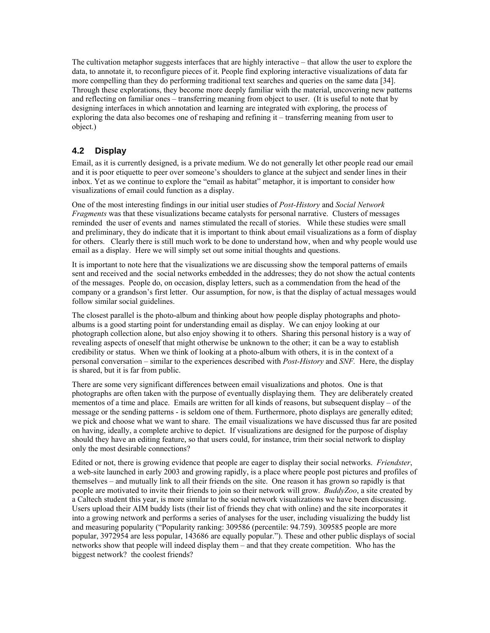The cultivation metaphor suggests interfaces that are highly interactive – that allow the user to explore the data, to annotate it, to reconfigure pieces of it. People find exploring interactive visualizations of data far more compelling than they do performing traditional text searches and queries on the same data [\[34\].](#page-16-10) Through these explorations, they become more deeply familiar with the material, uncovering new patterns and reflecting on familiar ones – transferring meaning from object to user. (It is useful to note that by designing interfaces in which annotation and learning are integrated with exploring, the process of exploring the data also becomes one of reshaping and refining it – transferring meaning from user to object.)

## **4.2 Display**

Email, as it is currently designed, is a private medium. We do not generally let other people read our email and it is poor etiquette to peer over someone's shoulders to glance at the subject and sender lines in their inbox. Yet as we continue to explore the "email as habitat" metaphor, it is important to consider how visualizations of email could function as a display.

One of the most interesting findings in our initial user studies of *Post-History* and *Social Network Fragments* was that these visualizations became catalysts for personal narrative. Clusters of messages reminded the user of events and names stimulated the recall of stories. While these studies were small and preliminary, they do indicate that it is important to think about email visualizations as a form of display for others. Clearly there is still much work to be done to understand how, when and why people would use email as a display. Here we will simply set out some initial thoughts and questions.

It is important to note here that the visualizations we are discussing show the temporal patterns of emails sent and received and the social networks embedded in the addresses; they do not show the actual contents of the messages. People do, on occasion, display letters, such as a commendation from the head of the company or a grandson's first letter. Our assumption, for now, is that the display of actual messages would follow similar social guidelines.

The closest parallel is the photo-album and thinking about how people display photographs and photoalbums is a good starting point for understanding email as display. We can enjoy looking at our photograph collection alone, but also enjoy showing it to others. Sharing this personal history is a way of revealing aspects of oneself that might otherwise be unknown to the other; it can be a way to establish credibility or status. When we think of looking at a photo-album with others, it is in the context of a personal conversation – similar to the experiences described with *Post-History* and *SNF.* Here, the display is shared, but it is far from public.

There are some very significant differences between email visualizations and photos. One is that photographs are often taken with the purpose of eventually displaying them. They are deliberately created mementos of a time and place. Emails are written for all kinds of reasons, but subsequent display – of the message or the sending patterns - is seldom one of them. Furthermore, photo displays are generally edited; we pick and choose what we want to share. The email visualizations we have discussed thus far are posited on having, ideally, a complete archive to depict. If visualizations are designed for the purpose of display should they have an editing feature, so that users could, for instance, trim their social network to display only the most desirable connections?

Edited or not, there is growing evidence that people are eager to display their social networks. *Friendster*, a web-site launched in early 2003 and growing rapidly, is a place where people post pictures and profiles of themselves – and mutually link to all their friends on the site. One reason it has grown so rapidly is that people are motivated to invite their friends to join so their network will grow. *BuddyZoo*, a site created by a Caltech student this year, is more similar to the social network visualizations we have been discussing. Users upload their AIM buddy lists (their list of friends they chat with online) and the site incorporates it into a growing network and performs a series of analyses for the user, including visualizing the buddy list and measuring popularity ("Popularity ranking: 309586 (percentile: 94.759). 309585 people are more popular, 3972954 are less popular, 143686 are equally popular."). These and other public displays of social networks show that people will indeed display them – and that they create competition. Who has the biggest network? the coolest friends?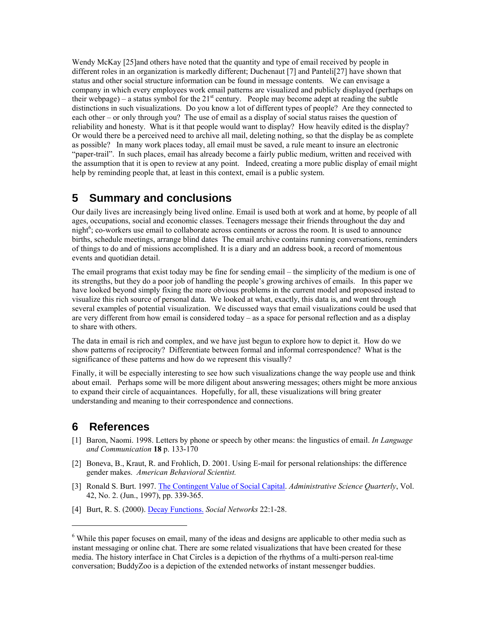Wendy McKay [\[25\]a](#page-15-4)nd others have noted that the quantity and type of email received by people in different roles in an organization is markedly different; Duchenaut [\[7\]](#page-15-3) and Pantel[i\[27\]](#page-16-1) have shown that status and other social structure information can be found in message contents. We can envisage a company in which every employees work email patterns are visualized and publicly displayed (perhaps on their webpage) – a status symbol for the  $21<sup>st</sup>$  century. People may become adept at reading the subtle distinctions in such visualizations. Do you know a lot of different types of people? Are they connected to each other – or only through you? The use of email as a display of social status raises the question of reliability and honesty. What is it that people would want to display? How heavily edited is the display? Or would there be a perceived need to archive all mail, deleting nothing, so that the display be as complete as possible? In many work places today, all email must be saved, a rule meant to insure an electronic "paper-trail". In such places, email has already become a fairly public medium, written and received with the assumption that it is open to review at any point. Indeed, creating a more public display of email might help by reminding people that, at least in this context, email is a public system.

# **5 Summary and conclusions**

Our daily lives are increasingly being lived online. Email is used both at work and at home, by people of all ages, occupations, social and economic classes. Teenagers message their friends throughout the day and night<sup>6</sup>; co-workers use email to collaborate across continents or across the room. It is used to announce births, schedule meetings, arrange blind dates The email archive contains running conversations, reminders of things to do and of missions accomplished. It is a diary and an address book, a record of momentous events and quotidian detail.

The email programs that exist today may be fine for sending email – the simplicity of the medium is one of its strengths, but they do a poor job of handling the people's growing archives of emails. In this paper we have looked beyond simply fixing the more obvious problems in the current model and proposed instead to visualize this rich source of personal data. We looked at what, exactly, this data is, and went through several examples of potential visualization. We discussed ways that email visualizations could be used that are very different from how email is considered today – as a space for personal reflection and as a display to share with others.

The data in email is rich and complex, and we have just begun to explore how to depict it. How do we show patterns of reciprocity? Differentiate between formal and informal correspondence? What is the significance of these patterns and how do we represent this visually?

Finally, it will be especially interesting to see how such visualizations change the way people use and think about email. Perhaps some will be more diligent about answering messages; others might be more anxious to expand their circle of acquaintances. Hopefully, for all, these visualizations will bring greater understanding and meaning to their correspondence and connections.

# **6 References**

 $\overline{a}$ 

- [1] Baron, Naomi. 1998. Letters by phone or speech by other means: the lingustics of email. *In Language and Communication* **18** p. 133-170
- [2] Boneva, B., Kraut, R. and Frohlich, D. 2001. Using E-mail for personal relationships: the difference gender makes. *American Behavioral Scientist.*
- [3] Ronald S. Burt. 1997. [The Contingent Value of Social Capital](http://links.jstor.org/sici?sici=0001-8392%28199706%2942%3A2%3C339%3ATCVOSC%3E2.0.CO%3B2-W). *Administrative Science Quarterly*, Vol. 42, No. 2. (Jun., 1997), pp. 339-365.
- <span id="page-14-0"></span>[4] Burt, R. S. (2000). [Decay Functions.](http://www.sciencedirect.com/science?_ob=ArticleURL&_udi=B6VD1-40963CR-1&_user=501045&_handle=W-WA-A-A-C-MsSAYWA-UUA-AUCZVZEYZE-AABUZEZEU-C-U&_fmt=full&_coverDate=05%2F31%2F2000&_rdoc=1&_orig=browse&_srch=%23toc%235969%232000%23999779998%23194911!) *Social Networks* 22:1-28.

<span id="page-14-1"></span><sup>&</sup>lt;sup>6</sup> While this paper focuses on email, many of the ideas and designs are applicable to other media such as instant messaging or online chat. There are some related visualizations that have been created for these media. The history interface in Chat Circles is a depiction of the rhythms of a multi-person real-time conversation; BuddyZoo is a depiction of the extended networks of instant messenger buddies.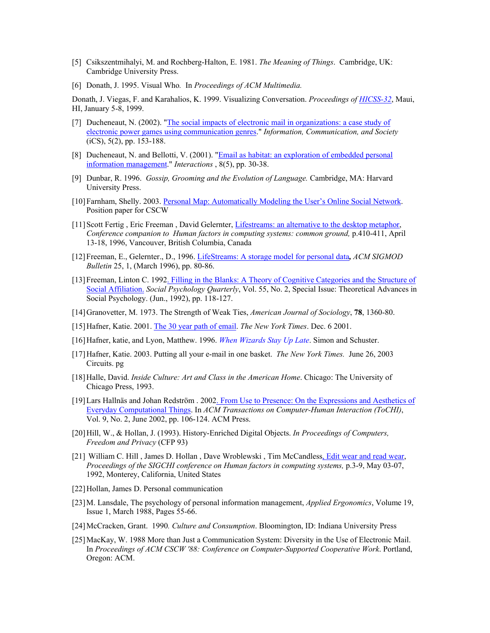- <span id="page-15-8"></span>[5] Csikszentmihalyi, M. and Rochberg-Halton, E. 1981. *The Meaning of Things*. Cambridge, UK: Cambridge University Press.
- <span id="page-15-7"></span>[6] Donath, J. 1995. Visual Who*.* In *Proceedings of ACM Multimedia.*

Donath, J. Viegas, F. and Karahalios, K. 1999. Visualizing Conversation. *Proceedings of [HICSS-32](http://www.hicss.hawaii.edu/hicss_32/apahome.htm)*, Maui, HI, January 5-8, 1999.

- <span id="page-15-3"></span>[7] Ducheneaut, N. (2002). "The social impacts of electronic mail in organizations: a case study of [electronic power games using communication genres.](http://gessler.ingentaselect.com/vl=4411654/cl=30/nw=1/fm=docpdf/rpsv/catchword/routledg/1369118x/v5n2/s2/p153)" *Information, Communication, and Society* (iCS), 5(2), pp. 153-188.
- <span id="page-15-0"></span>[8] Ducheneaut, N. and Bellotti, V. (2001). "[Email as habitat: an exploration of embedded personal](http://delivery.acm.org/10.1145/390000/383305/p30-ducheneaut.html?key1=383305&key2=1953118401&coll=portal&dl=ACM&CFID=8968318&CFTOKEN=89500837)  [information management.](http://delivery.acm.org/10.1145/390000/383305/p30-ducheneaut.html?key1=383305&key2=1953118401&coll=portal&dl=ACM&CFID=8968318&CFTOKEN=89500837)" *Interactions* , 8(5), pp. 30-38.
- [9] Dunbar, R. 1996. *Gossip, Grooming and the Evolution of Language.* Cambridge, MA: Harvard University Press.
- [10] Farnham, Shelly. 2003. [Personal Map: Automatically Modeling the User's Online Social Network](http://peach.mie.utoronto.ca/people/jacek/emailresearch/CSCW2002/submissions/MS-Shelly-forworkshop.pdf). Position paper for CSCW
- [11] Scott Fertig , Eric Freeman , David Gelernter, [Lifestreams: an alternative to the desktop metaphor](http://www.acm.org/sigchi/chi96/proceedings/videos/Fertig/etf.htm), *Conference companion to Human factors in computing systems: common ground,* p.410-411, April 13-18, 1996, Vancouver, British Columbia, Canada
- [12] Freeman, E., Gelernter., D., 1996. [LifeStreams: A storage model for personal data](http://citeseer.nj.nec.com/cache/papers/cs/1203/ftp:zSzzSzftp.cs.yale.eduzSzWWWzSzHTMLzSzYALEzSzCSzSzHyPlanszSzfreemanzSzpaperszSzSIGMODzSzpaper.pdf/lifestreams-a-storage-model.pdf)*, ACM SIGMOD Bulletin* 25, 1, (March 1996), pp. 80-86.
- [13] Freeman, Linton C. 1992[. Filling in the Blanks: A Theory of Cognitive Categories and the Structure of](http://links.jstor.org/sici?sici=0190-2725%28199206%2955%3A2%3C118%3AFITBAT%3E2.0.CO%3B2-3)  [Social Affiliation.](http://links.jstor.org/sici?sici=0190-2725%28199206%2955%3A2%3C118%3AFITBAT%3E2.0.CO%3B2-3) *Social Psychology Quarterly*, Vol. 55, No. 2, Special Issue: Theoretical Advances in Social Psychology. (Jun., 1992), pp. 118-127.
- [14] Granovetter, M. 1973. The Strength of Weak Ties, *American Journal of Sociology*, **78**, 1360-80.
- <span id="page-15-2"></span>[15] Hafner, Katie. 2001. [The 30 year path of email](http://www.nytimes.com/2001/12/06/technology/circuits/06EMAI.html?ei=5070&en=9f967be5fedcb881&ex=1054353600&pagewanted=print). *The New York Times*. Dec. 6 2001.
- <span id="page-15-1"></span>[16] Hafner, katie, and Lyon, Matthew. 1996. *[When Wizards Stay Up Late](http://www.olografix.org/gubi/estate/libri/wizards/email.html)*. Simon and Schuster.
- [17] Hafner, Katie. 2003. Putting all your e-mail in one basket. *The New York Times.* June 26, 2003 Circuits. pg
- [18] Halle, David. *Inside Culture: Art and Class in the American Home*. Chicago: The University of Chicago Press, 1993.
- [19] Lars Hallnäs and Johan Redström . 200[2. From Use to Presence: On the Expressions and Aesthetics of](http://www.math.chalmers.se/~redstrom/papers/use2presence.pdf)  [Everyday Computational Things.](http://www.math.chalmers.se/~redstrom/papers/use2presence.pdf) In *ACM Transactions on Computer-Human Interaction (ToCHI)*, Vol. 9, No. 2, June 2002, pp. 106-124. ACM Press.
- [20] Hill, W., & Hollan, J. (1993). History-Enriched Digital Objects. *In Proceedings of Computers, Freedom and Privacy* (CFP 93)
- <span id="page-15-5"></span>[21] William C. Hill, James D. Hollan, Dave Wroblewski, Tim McCandless, *Edit wear and read wear*, *Proceedings of the SIGCHI conference on Human factors in computing systems,* p.3-9, May 03-07, 1992, Monterey, California, United States
- <span id="page-15-6"></span>[22] Hollan, James D. Personal communication
- [23] M. Lansdale, The psychology of personal information management, *Applied Ergonomics*, Volume 19, Issue 1, March 1988, Pages 55-66.
- [24] McCracken, Grant. 1990*. Culture and Consumption*. Bloomington, ID: Indiana University Press
- <span id="page-15-4"></span>[25] MacKay, W. 1988 More than Just a Communication System: Diversity in the Use of Electronic Mail. In *Proceedings of ACM CSCW '88: Conference on Computer-Supported Cooperative Work*. Portland, Oregon: ACM.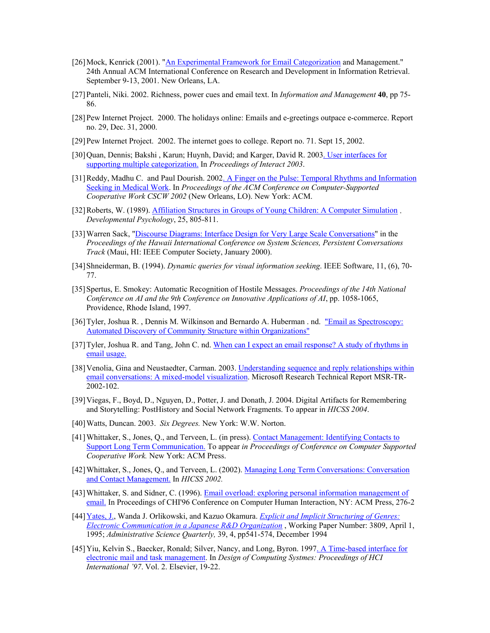- [26] Mock, Kenrick (2001). "[An Experimental Framework for Email Categorization](http://www.math.uaa.alaska.edu/~afkjm/papers/emailcat.pdf) and Management." 24th Annual ACM International Conference on Research and Development in Information Retrieval. September 9-13, 2001. New Orleans, LA.
- <span id="page-16-1"></span>[27] Panteli, Niki. 2002. Richness, power cues and email text. In *Information and Management* **40**, pp 75- 86.
- [28] Pew Internet Project. 2000. The holidays online: Emails and e-greetings outpace e-commerce. Report no. 29, Dec. 31, 2000.
- [29] Pew Internet Project. 2002. The internet goes to college. Report no. 71. Sept 15, 2002.
- [30] Quan, Dennis; Bakshi , Karun; Huynh, David; and Karger, David R. 200[3. User interfaces for](http://www.ai.mit.edu/people/dquan/interact2003-multicat.pdf)  [supporting multiple categorization.](http://www.ai.mit.edu/people/dquan/interact2003-multicat.pdf) In *Proceedings of Interact 2003*.
- [31] Reddy, Madhu C. and Paul Dourish. 2002[. A Finger on the Pulse: Temporal Rhythms and Information](ftp://ftp.ics.uci.edu/pub/jpd/papers/2002/cscw02-rhythms.pdf)  [Seeking in Medical Work](ftp://ftp.ics.uci.edu/pub/jpd/papers/2002/cscw02-rhythms.pdf). In *Proceedings of the ACM Conference on Computer-Supported Cooperative Work CSCW 2002* (New Orleans, LO). New York: ACM.
- [32] Roberts, W. (1989). [Affiliation Structures in Groups of Young Children: A Computer Simulation](http://www.cariboo.bc.ca/ae/psych/roberts/simulate.pdf) . *Developmental Psychology*, 25, 805-811.
- <span id="page-16-5"></span>[33] Warren Sack, ["Discourse Diagrams: Interface Design for Very Large Scale Conversations](http://www.sims.berkeley.edu/~sack/Pubs/sack-hicss00.doc)" in the *Proceedings of the Hawaii International Conference on System Sciences, Persistent Conversations Track* (Maui, HI: IEEE Computer Society, January 2000).
- <span id="page-16-10"></span>[34] Shneiderman, B. (1994). *Dynamic queries for visual information seeking*. IEEE Software, 11, (6), 70- 77.
- <span id="page-16-6"></span>[35] Spertus, E. Smokey: Automatic Recognition of Hostile Messages. *Proceedings of the 14th National Conference on AI and the 9th Conference on Innovative Applications of AI*, pp. 1058-1065, Providence, Rhode Island, 1997.
- <span id="page-16-7"></span>[36] Tyler, Joshua R. , Dennis M. Wilkinson and Bernardo A. Huberman . nd. ["Email as Spectroscopy:](http://www.hpl.hp.com/shl/papers/email/index.html)  [Automated Discovery of Community Structure within Organizations"](http://www.hpl.hp.com/shl/papers/email/index.html)
- <span id="page-16-0"></span>[37] Tyler, Joshua R. and Tang, John C. nd. When can I expect an email response? A study of rhythms in [email usage.](http://www.hpl.hp.com/shl/papers/rhythms/index.html)
- [38] Venolia, Gina and Neustaedter, Carman. 2003. [Understanding sequence and reply relationships within](ftp://ftp.research.microsoft.com/pub/tr/tr-2002-102.pdf)  [email conversations: A mixed-model visualization.](ftp://ftp.research.microsoft.com/pub/tr/tr-2002-102.pdf) Microsoft Research Technical Report MSR-TR-2002-102.
- <span id="page-16-9"></span>[39] Viegas, F., Boyd, D., Nguyen, D., Potter, J. and Donath, J. 2004. Digital Artifacts for Remembering and Storytelling: PostHistory and Social Network Fragments. To appear in *HICSS 2004*.
- [40] Watts, Duncan. 2003. *Six Degrees.* New York: W.W. Norton.
- <span id="page-16-2"></span>[41] Whittaker, S., Jones, Q., and Terveen, L. (in press). [Contact Management: Identifying Contacts to](http://www.research.att.com/~stevew/ContactManagement-CSCW02.pdf)  [Support Long Term Communication.](http://www.research.att.com/~stevew/ContactManagement-CSCW02.pdf) To appear *in Proceedings of Conference on Computer Supported Cooperative Work.* New York: ACM Press.
- <span id="page-16-3"></span>[42] Whittaker, S., Jones, Q., and Terveen, L. (2002). [Managing Long Term Conversations: Conversation](http://www.research.att.com/~stevew/HICCS-final.pdf)  [and Contact Management.](http://www.research.att.com/~stevew/HICCS-final.pdf) In *HICSS 2002.*
- <span id="page-16-4"></span>[43] Whittaker, S. and Sidner, C. (1996). [Email overload: exploring personal information management of](http://www.research.att.com/~stevew/emlch96.pdf)  [email.](http://www.research.att.com/~stevew/emlch96.pdf) In Proceedings of CHI'96 Conference on Computer Human Interaction, NY: ACM Press, 276-2
- [44]Yates, J., Wanda J. Orlikowski, and Kazuo Okamura. *[Explicit and Implicit Structuring of Genres:](http://ccs.mit.edu/ebb/pub/genres.html)  [Electronic Communication in a Japanese R&D Organization](http://ccs.mit.edu/ebb/pub/genres.html)* , Working Paper Number: 3809, April 1, 1995; *Administrative Science Quarterly,* 39, 4, pp541-574, December 1994
- <span id="page-16-8"></span>[45] Yiu, Kelvin S., Baecker, Ronald; Silver, Nancy, and Long, Byron. 1997. A Time-based interface for [electronic mail and task management.](http://www.dgp.toronto.edu/people/RMB/papers/p11.pdf) In *Design of Computing Systmes: Proceedings of HCI International '97*. Vol. 2. Elsevier, 19-22.